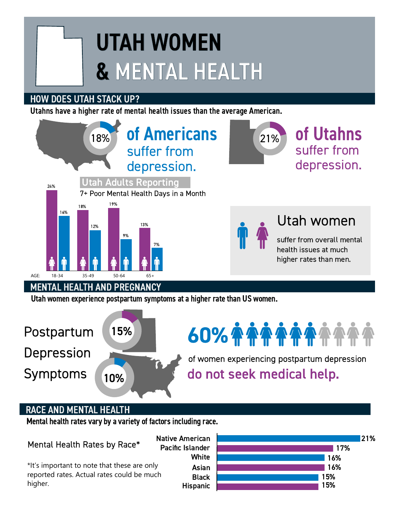# UTAH WOMEN & MENTAL HEALTH

# HOW DOES UTAH STACK UP?

Utahns have a higher rate of mental health issues than the average American.



## RACE AND MENTAL HEALTH

Mental health rates vary by a variety of factors including race.

Mental Health Rates by Race\*

higher.

**Hispanic Black** Asian **White** Pacific Islander \*It's important to note that these are only reported rates. Actual rates could be much